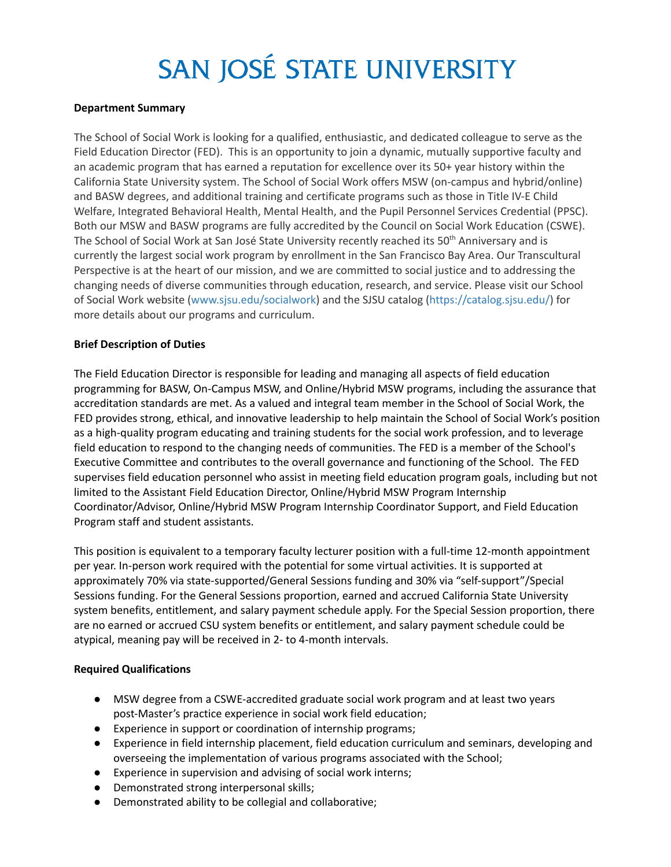# SAN JOSÉ STATE UNIVERSITY

## **Department Summary**

The School of Social Work is looking for a qualified, enthusiastic, and dedicated colleague to serve as the Field Education Director (FED). This is an opportunity to join a dynamic, mutually supportive faculty and an academic program that has earned a reputation for excellence over its 50+ year history within the California State University system. The School of Social Work offers MSW (on-campus and hybrid/online) and BASW degrees, and additional training and certificate programs such as those in Title IV-E Child Welfare, Integrated Behavioral Health, Mental Health, and the Pupil Personnel Services Credential (PPSC). Both our MSW and BASW programs are fully accredited by the Council on Social Work Education (CSWE). The School of Social Work at San José State University recently reached its 50<sup>th</sup> Anniversary and is currently the largest social work program by enrollment in the San Francisco Bay Area. Our Transcultural Perspective is at the heart of our mission, and we are committed to social justice and to addressing the changing needs of diverse communities through education, research, and service. Please visit our School of Social Work website [\(www.sjsu.edu/socialwork](http://www.sjsu.edu/socialwork)) and the SJSU catalog ([https://catalog.sjsu.edu/\)](https://catalog.sjsu.edu/) for more details about our programs and curriculum.

## **Brief Description of Duties**

The Field Education Director is responsible for leading and managing all aspects of field education programming for BASW, On-Campus MSW, and Online/Hybrid MSW programs, including the assurance that accreditation standards are met. As a valued and integral team member in the School of Social Work, the FED provides strong, ethical, and innovative leadership to help maintain the School of Social Work's position as a high-quality program educating and training students for the social work profession, and to leverage field education to respond to the changing needs of communities. The FED is a member of the School's Executive Committee and contributes to the overall governance and functioning of the School. The FED supervises field education personnel who assist in meeting field education program goals, including but not limited to the Assistant Field Education Director, Online/Hybrid MSW Program Internship Coordinator/Advisor, Online/Hybrid MSW Program Internship Coordinator Support, and Field Education Program staff and student assistants.

This position is equivalent to a temporary faculty lecturer position with a full-time 12-month appointment per year. In-person work required with the potential for some virtual activities. It is supported at approximately 70% via state-supported/General Sessions funding and 30% via "self-support"/Special Sessions funding. For the General Sessions proportion, earned and accrued California State University system benefits, entitlement, and salary payment schedule apply. For the Special Session proportion, there are no earned or accrued CSU system benefits or entitlement, and salary payment schedule could be atypical, meaning pay will be received in 2- to 4-month intervals.

# **Required Qualifications**

- MSW degree from a CSWE-accredited graduate social work program and at least two years post-Master's practice experience in social work field education;
- Experience in support or coordination of internship programs;
- Experience in field internship placement, field education curriculum and seminars, developing and overseeing the implementation of various programs associated with the School;
- Experience in supervision and advising of social work interns;
- Demonstrated strong interpersonal skills;
- Demonstrated ability to be collegial and collaborative;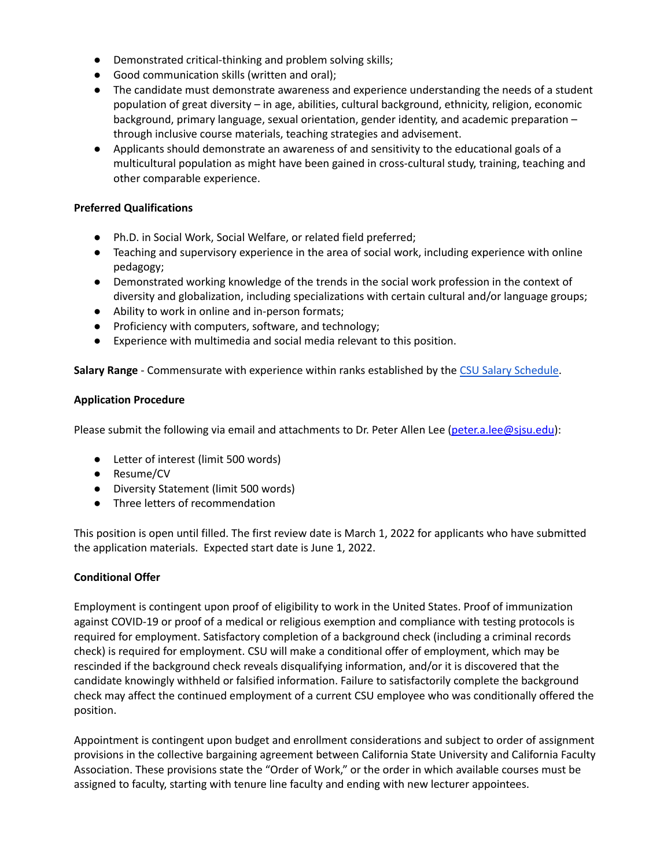- Demonstrated critical-thinking and problem solving skills;
- Good communication skills (written and oral);
- The candidate must demonstrate awareness and experience understanding the needs of a student population of great diversity – in age, abilities, cultural background, ethnicity, religion, economic background, primary language, sexual orientation, gender identity, and academic preparation – through inclusive course materials, teaching strategies and advisement.
- Applicants should demonstrate an awareness of and sensitivity to the educational goals of a multicultural population as might have been gained in cross-cultural study, training, teaching and other comparable experience.

# **Preferred Qualifications**

- Ph.D. in Social Work, Social Welfare, or related field preferred;
- Teaching and supervisory experience in the area of social work, including experience with online pedagogy;
- Demonstrated working knowledge of the trends in the social work profession in the context of diversity and globalization, including specializations with certain cultural and/or language groups;
- Ability to work in online and in-person formats;
- Proficiency with computers, software, and technology;
- Experience with multimedia and social media relevant to this position.

**Salary Range** - Commensurate with experience within ranks established by the CSU Salary [Schedule](https://www2.calstate.edu/csu-system/careers/compensation/Pages/salary-schedule.aspx).

# **Application Procedure**

Please submit the following via email and attachments to Dr. Peter Allen Lee [\(peter.a.lee@sjsu.edu](mailto:peter.a.lee@sjsu.edu)):

- Letter of interest (limit 500 words)
- Resume/CV
- Diversity Statement (limit 500 words)
- Three letters of recommendation

This position is open until filled. The first review date is March 1, 2022 for applicants who have submitted the application materials. Expected start date is June 1, 2022.

# **Conditional Offer**

Employment is contingent upon proof of eligibility to work in the United States. Proof of immunization against COVID-19 or proof of a medical or religious exemption and compliance with testing protocols is required for employment. Satisfactory completion of a background check (including a criminal records check) is required for employment. CSU will make a conditional offer of employment, which may be rescinded if the background check reveals disqualifying information, and/or it is discovered that the candidate knowingly withheld or falsified information. Failure to satisfactorily complete the background check may affect the continued employment of a current CSU employee who was conditionally offered the position.

Appointment is contingent upon budget and enrollment considerations and subject to order of assignment provisions in the collective bargaining agreement between California State University and California Faculty Association. These provisions state the "Order of Work," or the order in which available courses must be assigned to faculty, starting with tenure line faculty and ending with new lecturer appointees.